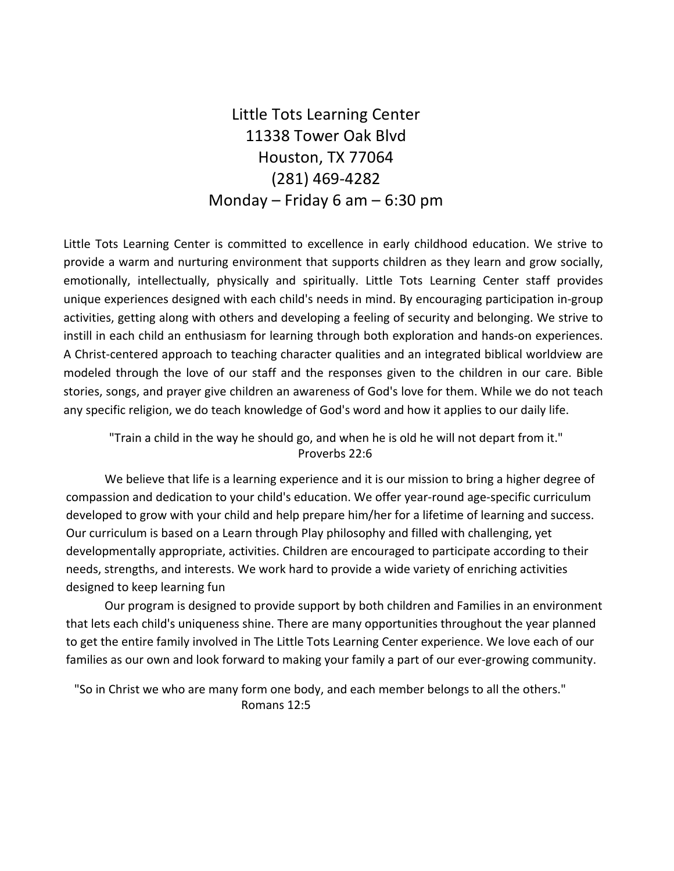Little Tots Learning Center 11338 Tower Oak Blvd Houston, TX 77064 (281) 469-4282 Monday – Friday 6 am – 6:30 pm

Little Tots Learning Center is committed to excellence in early childhood education. We strive to provide a warm and nurturing environment that supports children as they learn and grow socially, emotionally, intellectually, physically and spiritually. Little Tots Learning Center staff provides unique experiences designed with each child's needs in mind. By encouraging participation in-group activities, getting along with others and developing a feeling of security and belonging. We strive to instill in each child an enthusiasm for learning through both exploration and hands-on experiences. A Christ-centered approach to teaching character qualities and an integrated biblical worldview are modeled through the love of our staff and the responses given to the children in our care. Bible stories, songs, and prayer give children an awareness of God's love for them. While we do not teach any specific religion, we do teach knowledge of God's word and how it applies to our daily life.

"Train a child in the way he should go, and when he is old he will not depart from it." Proverbs 22:6

We believe that life is a learning experience and it is our mission to bring a higher degree of compassion and dedication to your child's education. We offer year-round age-specific curriculum developed to grow with your child and help prepare him/her for a lifetime of learning and success. Our curriculum is based on a Learn through Play philosophy and filled with challenging, yet developmentally appropriate, activities. Children are encouraged to participate according to their needs, strengths, and interests. We work hard to provide a wide variety of enriching activities designed to keep learning fun

Our program is designed to provide support by both children and Families in an environment that lets each child's uniqueness shine. There are many opportunities throughout the year planned to get the entire family involved in The Little Tots Learning Center experience. We love each of our families as our own and look forward to making your family a part of our ever-growing community.

"So in Christ we who are many form one body, and each member belongs to all the others." Romans 12:5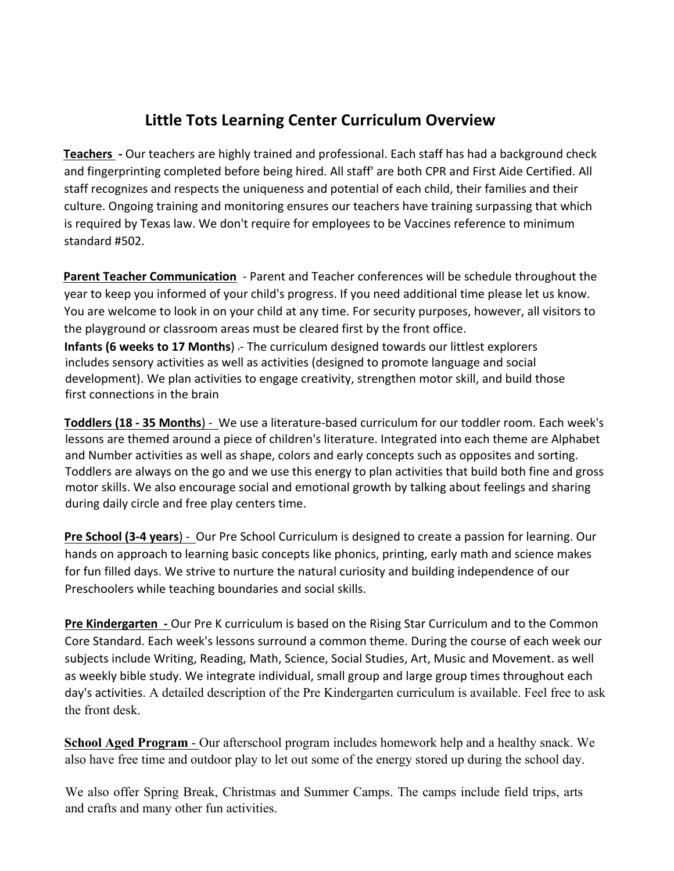# **Little Tots Learning Center Curriculum Overview**

**Teachers** - Our teachers are highly trained and professional. Each staff has had a background check and fingerprinting completed before being hired. All staff' are both CPR and First Aide Certified. All staff recognizes and respects the uniqueness and potential of each child, their families and their culture. Ongoing training and monitoring ensures our teachers have training surpassing that which is required by Texas law. We don't require for employees to be Vaccines reference to minimum standard #502.

**Parent Teacher Communication** - Parent and Teacher conferences will be schedule throughout the year to keep you informed of your child's progress. If you need additional time please let us know. You are welcome to look in on your child at any time. For security purposes, however, all visitors to the playground or classroom areas must be cleared first by the front office. **Infants (6 weeks to 17 Months)** - The curriculum designed towards our littlest explorers includes sensory activities as well as activities (designed to promote language and social development). We plan activities to engage creativity, strengthen motor skill, and build those first connections in the brain

Toddlers (18 - 35 Months) - We use a literature-based curriculum for our toddler room. Each week's lessons are themed around a piece of children's literature. Integrated into each theme are Alphabet and Number activities as well as shape, colors and early concepts such as opposites and sorting. Toddlers are always on the go and we use this energy to plan activities that build both fine and gross motor skills. We also encourage social and emotional growth by talking about feelings and sharing during daily circle and free play centers time.

**Pre School (3-4 years)** - Our Pre School Curriculum is designed to create a passion for learning. Our hands on approach to learning basic concepts like phonics, printing, early math and science makes for fun filled days. We strive to nurture the natural curiosity and building independence of our Preschoolers while teaching boundaries and social skills.

**Pre Kindergarten** - Our Pre K curriculum is based on the Rising Star Curriculum and to the Common Core Standard. Each week's lessons surround a common theme. During the course of each week our subjects include Writing, Reading, Math, Science, Social Studies, Art, Music and Movement. as well as weekly bible study. We integrate individual, small group and large group times throughout each day's activities. A detailed description of the Pre Kindergarten curriculum is available. Feel free to ask the front desk.

**School Aged Program** - Our afterschool program includes homework help and a healthy snack. We also have free time and outdoor play to let out some of the energy stored up during the school day.

We also offer Spring Break, Christmas and Summer Camps. The camps include field trips, arts and crafts and many other fun activities.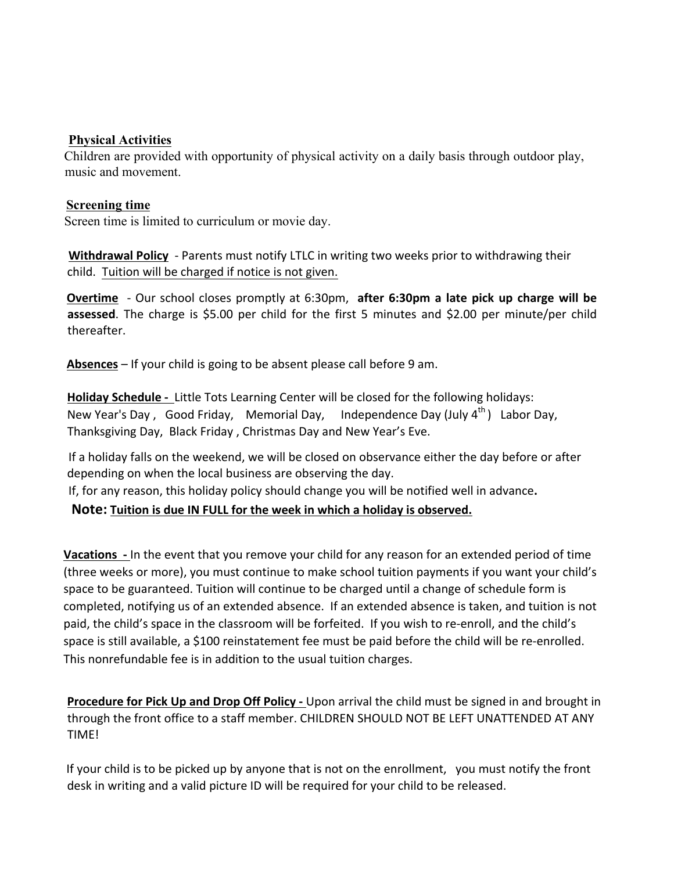### **Physical Activities**

Children are provided with opportunity of physical activity on a daily basis through outdoor play, music and movement.

### **Screening time**

Screen time is limited to curriculum or movie day.

**Withdrawal Policy** - Parents must notify LTLC in writing two weeks prior to withdrawing their child. Tuition will be charged if notice is not given.

**Overtime** - Our school closes promptly at 6:30pm, after 6:30pm a late pick up charge will be assessed. The charge is \$5.00 per child for the first 5 minutes and \$2.00 per minute/per child thereafter.

**Absences** – If your child is going to be absent please call before 9 am.

Holiday Schedule - Little Tots Learning Center will be closed for the following holidays: New Year's Day, Good Friday, Memorial Day, Independence Day (July 4<sup>th</sup>) Labor Day. Thanksgiving Day, Black Friday, Christmas Day and New Year's Eve.

If a holiday falls on the weekend, we will be closed on observance either the day before or after depending on when the local business are observing the day.

If, for any reason, this holiday policy should change you will be notified well in advance.

**Note:** Tuition is due IN FULL for the week in which a holiday is observed.

**Vacations** - In the event that you remove your child for any reason for an extended period of time (three weeks or more), you must continue to make school tuition payments if you want your child's space to be guaranteed. Tuition will continue to be charged until a change of schedule form is completed, notifying us of an extended absence. If an extended absence is taken, and tuition is not paid, the child's space in the classroom will be forfeited. If you wish to re-enroll, and the child's space is still available, a \$100 reinstatement fee must be paid before the child will be re-enrolled. This nonrefundable fee is in addition to the usual tuition charges.

**Procedure for Pick Up and Drop Off Policy -** Upon arrival the child must be signed in and brought in through the front office to a staff member. CHILDREN SHOULD NOT BE LEFT UNATTENDED AT ANY TIME!

If your child is to be picked up by anyone that is not on the enrollment, you must notify the front desk in writing and a valid picture ID will be required for your child to be released.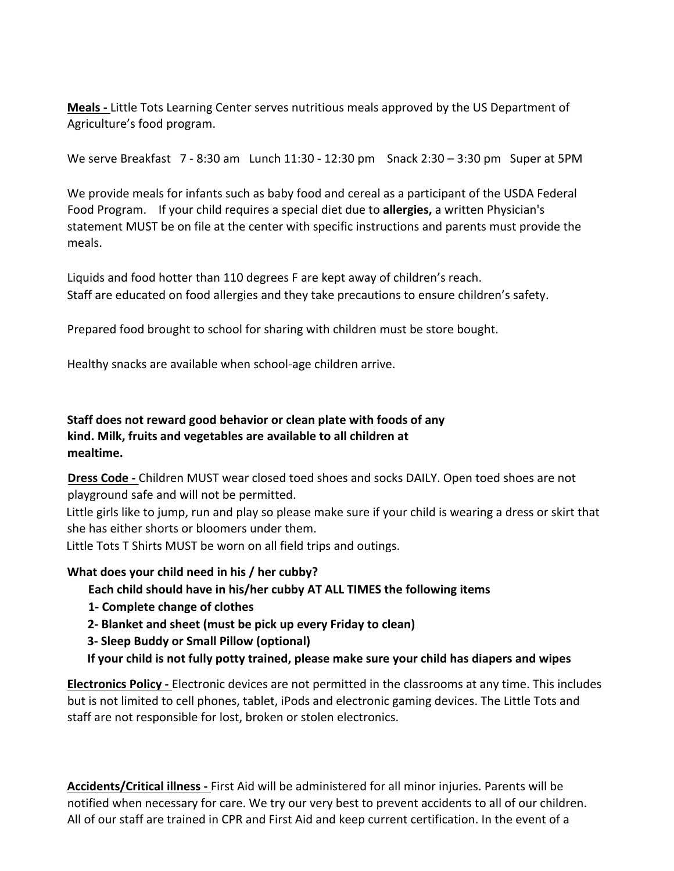**Meals** - Little Tots Learning Center serves nutritious meals approved by the US Department of Agriculture's food program.

We serve Breakfast  $7 - 8:30$  am Lunch  $11:30 - 12:30$  pm Snack  $2:30 - 3:30$  pm Super at 5PM

We provide meals for infants such as baby food and cereal as a participant of the USDA Federal Food Program. If your child requires a special diet due to **allergies,** a written Physician's statement MUST be on file at the center with specific instructions and parents must provide the meals.

Liquids and food hotter than 110 degrees F are kept away of children's reach. Staff are educated on food allergies and they take precautions to ensure children's safety.

Prepared food brought to school for sharing with children must be store bought.

Healthy snacks are available when school-age children arrive.

## **Staff does not reward good behavior or clean plate with foods of any** kind. Milk, fruits and vegetables are available to all children at **mealtime.**

**Dress Code** - Children MUST wear closed toed shoes and socks DAILY. Open toed shoes are not playground safe and will not be permitted.

Little girls like to jump, run and play so please make sure if your child is wearing a dress or skirt that she has either shorts or bloomers under them.

Little Tots T Shirts MUST be worn on all field trips and outings.

## **What does your child need in his / her cubby?**

Each child should have in his/her cubby AT ALL TIMES the following items

- **1- Complete change of clothes**
- **2- Blanket** and sheet (must be pick up every Friday to clean)
- **3- Sleep Buddy or Small Pillow (optional)**
- If your child is not fully potty trained, please make sure your child has diapers and wipes

**Electronics Policy** - Electronic devices are not permitted in the classrooms at any time. This includes but is not limited to cell phones, tablet, iPods and electronic gaming devices. The Little Tots and staff are not responsible for lost, broken or stolen electronics.

**Accidents/Critical illness** - First Aid will be administered for all minor injuries. Parents will be notified when necessary for care. We try our very best to prevent accidents to all of our children. All of our staff are trained in CPR and First Aid and keep current certification. In the event of a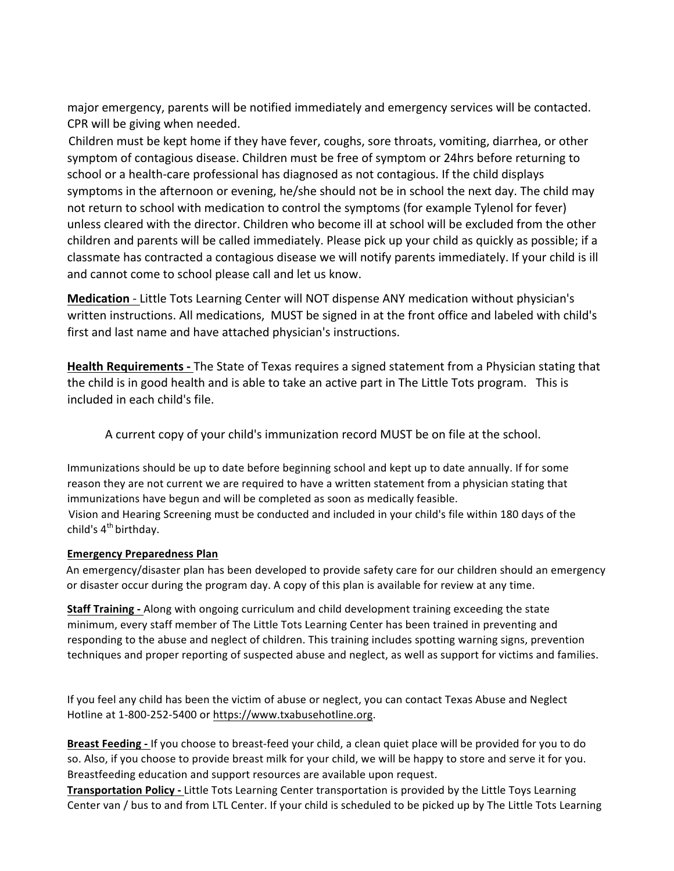major emergency, parents will be notified immediately and emergency services will be contacted. CPR will be giving when needed.

Children must be kept home if they have fever, coughs, sore throats, vomiting, diarrhea, or other symptom of contagious disease. Children must be free of symptom or 24hrs before returning to school or a health-care professional has diagnosed as not contagious. If the child displays symptoms in the afternoon or evening, he/she should not be in school the next day. The child may not return to school with medication to control the symptoms (for example Tylenol for fever) unless cleared with the director. Children who become ill at school will be excluded from the other children and parents will be called immediately. Please pick up your child as quickly as possible; if a classmate has contracted a contagious disease we will notify parents immediately. If your child is ill and cannot come to school please call and let us know.

**Medication** - Little Tots Learning Center will NOT dispense ANY medication without physician's written instructions. All medications, MUST be signed in at the front office and labeled with child's first and last name and have attached physician's instructions.

**Health Requirements** - The State of Texas requires a signed statement from a Physician stating that the child is in good health and is able to take an active part in The Little Tots program. This is included in each child's file.

A current copy of your child's immunization record MUST be on file at the school.

Immunizations should be up to date before beginning school and kept up to date annually. If for some reason they are not current we are required to have a written statement from a physician stating that immunizations have begun and will be completed as soon as medically feasible. Vision and Hearing Screening must be conducted and included in your child's file within 180 days of the child's  $4<sup>th</sup>$  birthday.

#### **Emergency Preparedness Plan**

An emergency/disaster plan has been developed to provide safety care for our children should an emergency or disaster occur during the program day. A copy of this plan is available for review at any time.

**Staff Training** - Along with ongoing curriculum and child development training exceeding the state minimum, every staff member of The Little Tots Learning Center has been trained in preventing and responding to the abuse and neglect of children. This training includes spotting warning signs, prevention techniques and proper reporting of suspected abuse and neglect, as well as support for victims and families.

If you feel any child has been the victim of abuse or neglect, you can contact Texas Abuse and Neglect Hotline at 1-800-252-5400 or https://www.txabusehotline.org.

**Breast Feeding** - If you choose to breast-feed your child, a clean quiet place will be provided for you to do so. Also, if you choose to provide breast milk for your child, we will be happy to store and serve it for you. Breastfeeding education and support resources are available upon request.

**Transportation Policy -** Little Tots Learning Center transportation is provided by the Little Toys Learning Center van / bus to and from LTL Center. If your child is scheduled to be picked up by The Little Tots Learning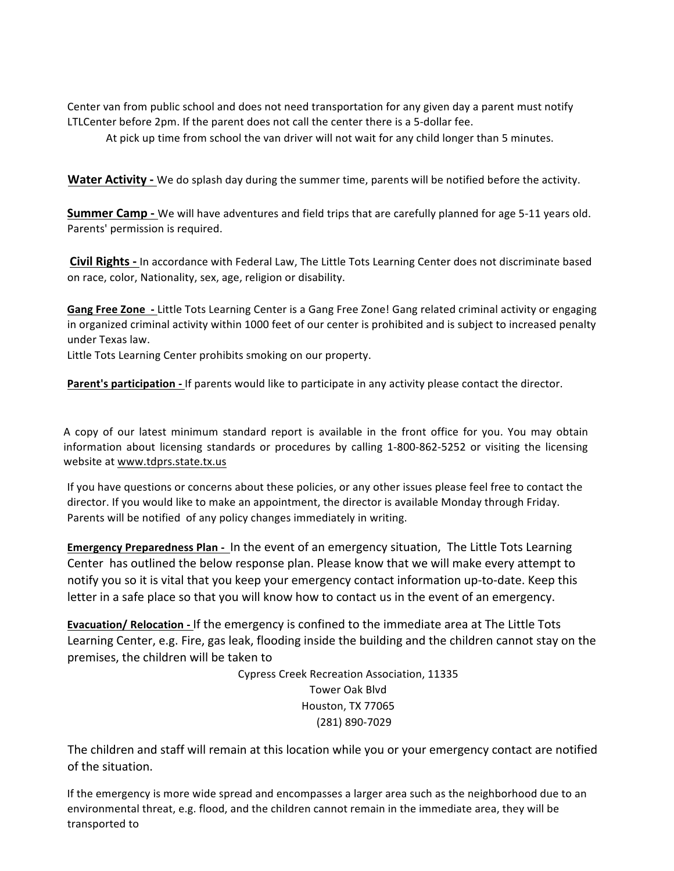Center van from public school and does not need transportation for any given day a parent must notify LTLCenter before 2pm. If the parent does not call the center there is a 5-dollar fee.

At pick up time from school the van driver will not wait for any child longer than 5 minutes.

**Water Activity** - We do splash day during the summer time, parents will be notified before the activity.

**Summer Camp** - We will have adventures and field trips that are carefully planned for age 5-11 years old. Parents' permission is required.

**Civil Rights** - In accordance with Federal Law, The Little Tots Learning Center does not discriminate based on race, color, Nationality, sex, age, religion or disability.

**Gang Free Zone** - Little Tots Learning Center is a Gang Free Zone! Gang related criminal activity or engaging in organized criminal activity within 1000 feet of our center is prohibited and is subject to increased penalty under Texas law.

Little Tots Learning Center prohibits smoking on our property.

**Parent's participation -** If parents would like to participate in any activity please contact the director.

A copy of our latest minimum standard report is available in the front office for you. You may obtain information about licensing standards or procedures by calling 1-800-862-5252 or visiting the licensing website at www.tdprs.state.tx.us

If you have questions or concerns about these policies, or any other issues please feel free to contact the director. If you would like to make an appointment, the director is available Monday through Friday. Parents will be notified of any policy changes immediately in writing.

**Emergency Preparedness Plan - In the event of an emergency situation, The Little Tots Learning** Center has outlined the below response plan. Please know that we will make every attempt to notify you so it is vital that you keep your emergency contact information up-to-date. Keep this letter in a safe place so that you will know how to contact us in the event of an emergency.

**Evacuation/ Relocation** - If the emergency is confined to the immediate area at The Little Tots Learning Center, e.g. Fire, gas leak, flooding inside the building and the children cannot stay on the premises, the children will be taken to

> Cypress Creek Recreation Association, 11335 Tower Oak Blvd Houston, TX 77065 (281) 890-7029

The children and staff will remain at this location while you or your emergency contact are notified of the situation.

If the emergency is more wide spread and encompasses a larger area such as the neighborhood due to an environmental threat, e.g. flood, and the children cannot remain in the immediate area, they will be transported to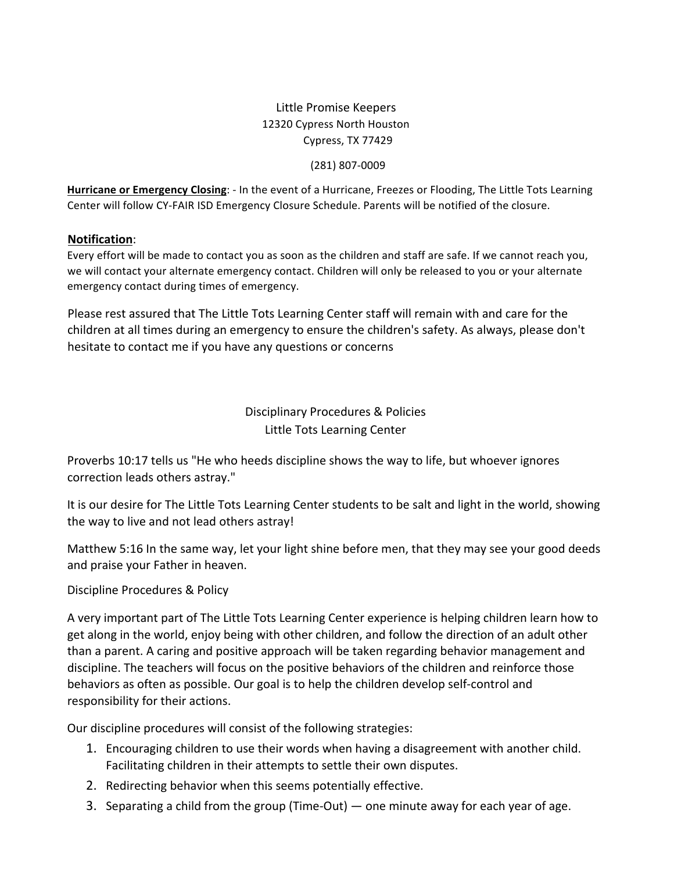# Little Promise Keepers 12320 Cypress North Houston Cypress, TX 77429

#### (281) 807-0009

Hurricane or Emergency Closing: - In the event of a Hurricane, Freezes or Flooding, The Little Tots Learning Center will follow CY-FAIR ISD Emergency Closure Schedule. Parents will be notified of the closure.

#### **Notification**:

Every effort will be made to contact you as soon as the children and staff are safe. If we cannot reach you, we will contact your alternate emergency contact. Children will only be released to you or your alternate emergency contact during times of emergency.

Please rest assured that The Little Tots Learning Center staff will remain with and care for the children at all times during an emergency to ensure the children's safety. As always, please don't hesitate to contact me if you have any questions or concerns

> Disciplinary Procedures & Policies Little Tots Learning Center

Proverbs 10:17 tells us "He who heeds discipline shows the way to life, but whoever ignores correction leads others astray."

It is our desire for The Little Tots Learning Center students to be salt and light in the world, showing the way to live and not lead others astray!

Matthew 5:16 In the same way, let your light shine before men, that they may see your good deeds and praise your Father in heaven.

## Discipline Procedures & Policy

A very important part of The Little Tots Learning Center experience is helping children learn how to get along in the world, enjoy being with other children, and follow the direction of an adult other than a parent. A caring and positive approach will be taken regarding behavior management and discipline. The teachers will focus on the positive behaviors of the children and reinforce those behaviors as often as possible. Our goal is to help the children develop self-control and responsibility for their actions.

Our discipline procedures will consist of the following strategies:

- 1. Encouraging children to use their words when having a disagreement with another child. Facilitating children in their attempts to settle their own disputes.
- 2. Redirecting behavior when this seems potentially effective.
- 3. Separating a child from the group (Time-Out) one minute away for each year of age.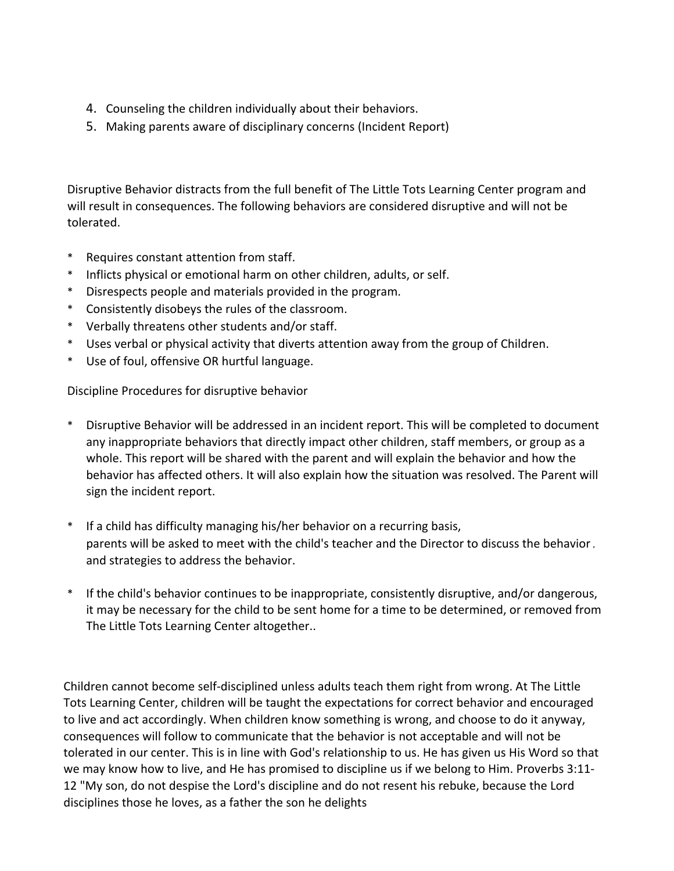- 4. Counseling the children individually about their behaviors.
- 5. Making parents aware of disciplinary concerns (Incident Report)

Disruptive Behavior distracts from the full benefit of The Little Tots Learning Center program and will result in consequences. The following behaviors are considered disruptive and will not be tolerated.

- Requires constant attention from staff.
- \* Inflicts physical or emotional harm on other children, adults, or self.
- \* Disrespects people and materials provided in the program.
- \* Consistently disobeys the rules of the classroom.
- \* Verbally threatens other students and/or staff.
- \* Uses verbal or physical activity that diverts attention away from the group of Children.
- \* Use of foul, offensive OR hurtful language.

Discipline Procedures for disruptive behavior

- \* Disruptive Behavior will be addressed in an incident report. This will be completed to document any inappropriate behaviors that directly impact other children, staff members, or group as a whole. This report will be shared with the parent and will explain the behavior and how the behavior has affected others. It will also explain how the situation was resolved. The Parent will sign the incident report.
- \* If a child has difficulty managing his/her behavior on a recurring basis, parents will be asked to meet with the child's teacher and the Director to discuss the behavior. and strategies to address the behavior.
- \* If the child's behavior continues to be inappropriate, consistently disruptive, and/or dangerous, it may be necessary for the child to be sent home for a time to be determined, or removed from The Little Tots Learning Center altogether..

Children cannot become self-disciplined unless adults teach them right from wrong. At The Little Tots Learning Center, children will be taught the expectations for correct behavior and encouraged to live and act accordingly. When children know something is wrong, and choose to do it anyway, consequences will follow to communicate that the behavior is not acceptable and will not be tolerated in our center. This is in line with God's relationship to us. He has given us His Word so that we may know how to live, and He has promised to discipline us if we belong to Him. Proverbs 3:11-12 "My son, do not despise the Lord's discipline and do not resent his rebuke, because the Lord disciplines those he loves, as a father the son he delights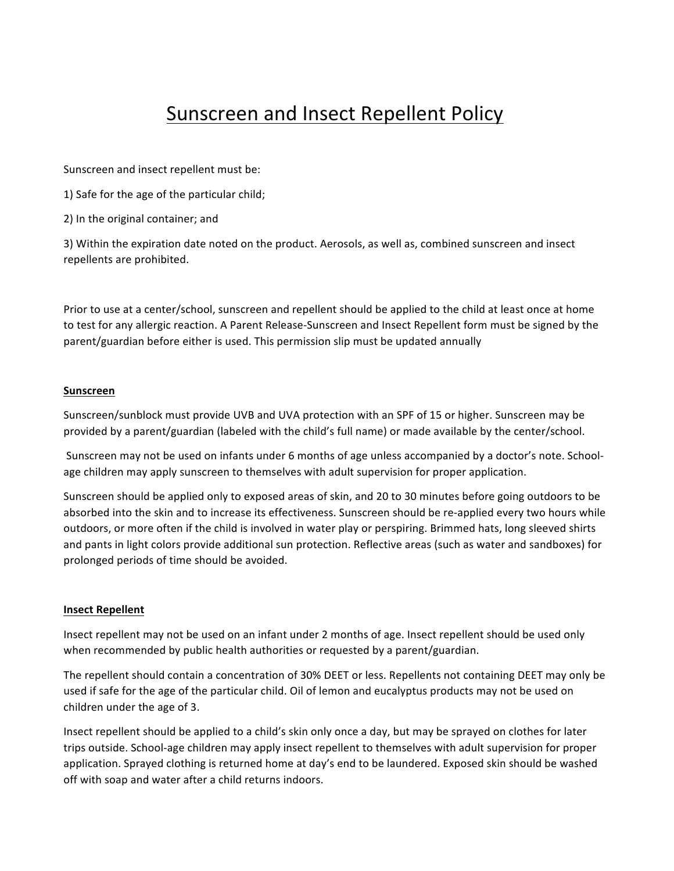# Sunscreen and Insect Repellent Policy

Sunscreen and insect repellent must be:

1) Safe for the age of the particular child;

2) In the original container; and

3) Within the expiration date noted on the product. Aerosols, as well as, combined sunscreen and insect repellents are prohibited.

Prior to use at a center/school, sunscreen and repellent should be applied to the child at least once at home to test for any allergic reaction. A Parent Release-Sunscreen and Insect Repellent form must be signed by the parent/guardian before either is used. This permission slip must be updated annually

#### **Sunscreen**

Sunscreen/sunblock must provide UVB and UVA protection with an SPF of 15 or higher. Sunscreen may be provided by a parent/guardian (labeled with the child's full name) or made available by the center/school.

Sunscreen may not be used on infants under 6 months of age unless accompanied by a doctor's note. Schoolage children may apply sunscreen to themselves with adult supervision for proper application.

Sunscreen should be applied only to exposed areas of skin, and 20 to 30 minutes before going outdoors to be absorbed into the skin and to increase its effectiveness. Sunscreen should be re-applied every two hours while outdoors, or more often if the child is involved in water play or perspiring. Brimmed hats, long sleeved shirts and pants in light colors provide additional sun protection. Reflective areas (such as water and sandboxes) for prolonged periods of time should be avoided.

#### **Insect Repellent**

Insect repellent may not be used on an infant under 2 months of age. Insect repellent should be used only when recommended by public health authorities or requested by a parent/guardian.

The repellent should contain a concentration of 30% DEET or less. Repellents not containing DEET may only be used if safe for the age of the particular child. Oil of lemon and eucalyptus products may not be used on children under the age of 3.

Insect repellent should be applied to a child's skin only once a day, but may be sprayed on clothes for later trips outside. School-age children may apply insect repellent to themselves with adult supervision for proper application. Sprayed clothing is returned home at day's end to be laundered. Exposed skin should be washed off with soap and water after a child returns indoors.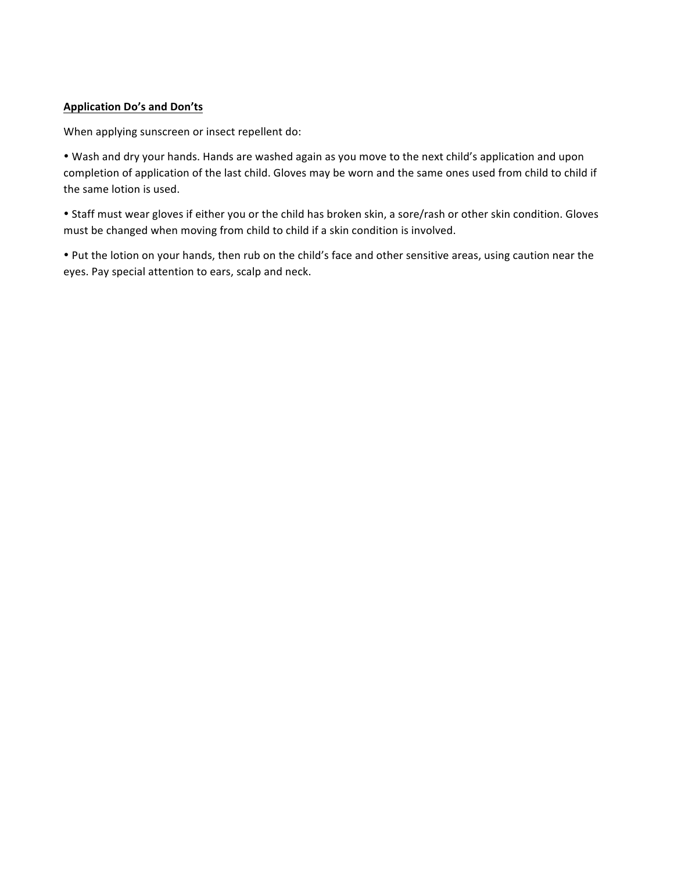#### **Application Do's and Don'ts**

When applying sunscreen or insect repellent do:

• Wash and dry your hands. Hands are washed again as you move to the next child's application and upon completion of application of the last child. Gloves may be worn and the same ones used from child to child if the same lotion is used.

• Staff must wear gloves if either you or the child has broken skin, a sore/rash or other skin condition. Gloves must be changed when moving from child to child if a skin condition is involved.

• Put the lotion on your hands, then rub on the child's face and other sensitive areas, using caution near the eyes. Pay special attention to ears, scalp and neck.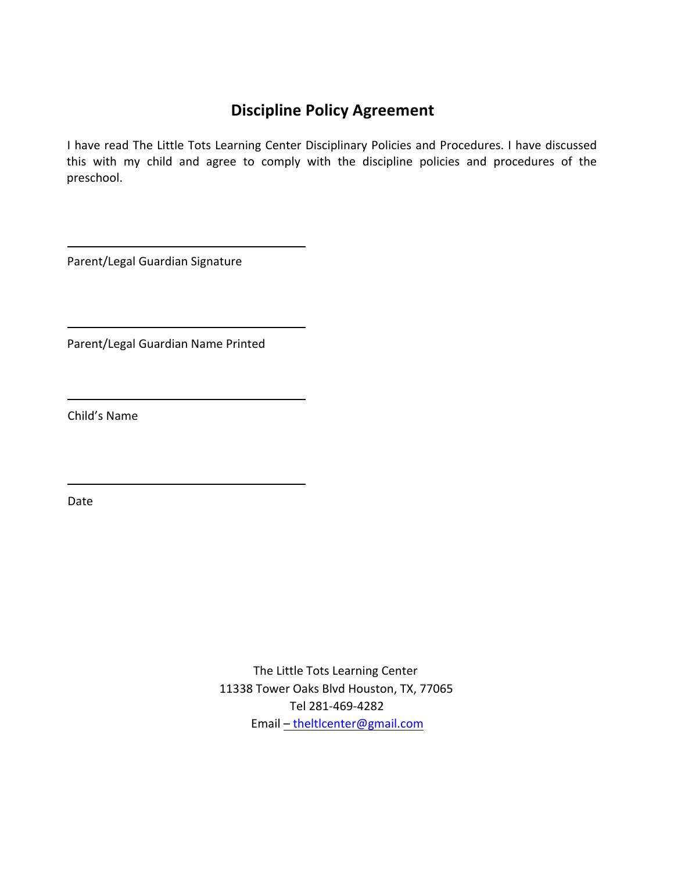# **Discipline Policy Agreement**

I have read The Little Tots Learning Center Disciplinary Policies and Procedures. I have discussed this with my child and agree to comply with the discipline policies and procedures of the preschool.

Parent/Legal Guardian Signature

Parent/Legal Guardian Name Printed

Child's Name

Date

The Little Tots Learning Center 11338 Tower Oaks Blvd Houston, TX, 77065 Tel 281-469-4282 Email – theltlcenter@gmail.com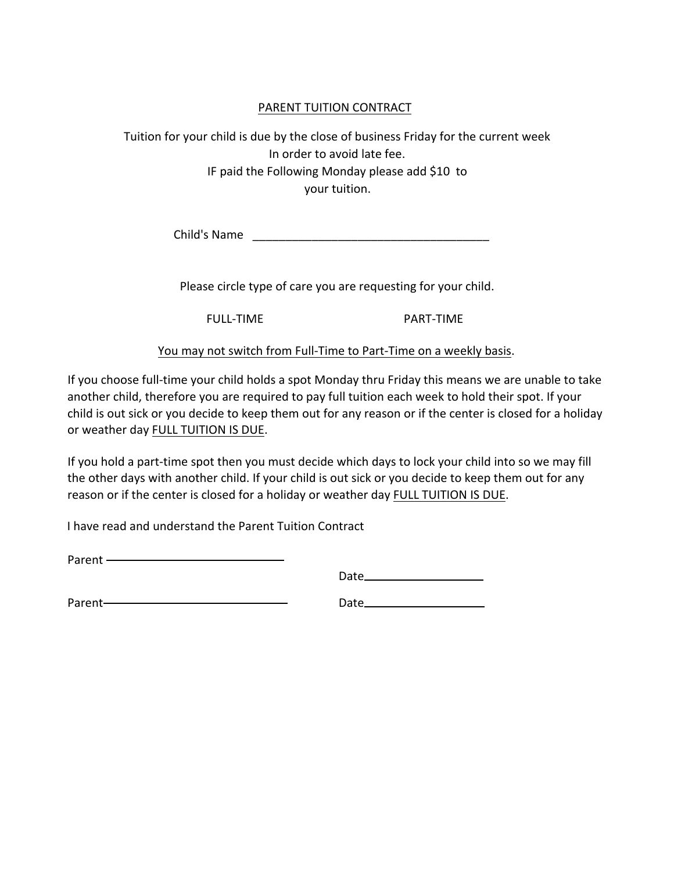### PARENT TUITION CONTRACT

Tuition for your child is due by the close of business Friday for the current week In order to avoid late fee. IF paid the Following Monday please add \$10 to your tuition.

Child's Name \_\_\_\_\_\_\_\_\_\_\_\_\_\_\_\_\_\_\_\_\_\_\_\_\_\_\_\_\_\_\_\_\_\_\_\_

Please circle type of care you are requesting for your child.

FULL-TIME PART-TIME

You may not switch from Full-Time to Part-Time on a weekly basis.

If you choose full-time your child holds a spot Monday thru Friday this means we are unable to take another child, therefore you are required to pay full tuition each week to hold their spot. If your child is out sick or you decide to keep them out for any reason or if the center is closed for a holiday or weather day FULL TUITION IS DUE.

If you hold a part-time spot then you must decide which days to lock your child into so we may fill the other days with another child. If your child is out sick or you decide to keep them out for any reason or if the center is closed for a holiday or weather day FULL TUITION IS DUE.

I have read and understand the Parent Tuition Contract

Parent - **Contract Contract Contract Contract Contract Contract Contract Contract Contract Contract Contract Contract Contract Contract Contract Contract Contract Contract Contract Contract Contract Contract Contract Contr** 

Date

Parent-**Contract Contract Contract Contract Contract Contract Contract Contract Contract Contract Contract Contract Contract Contract Contract Contract Contract Contract Contract Contract Contract Contract Contract Contrac**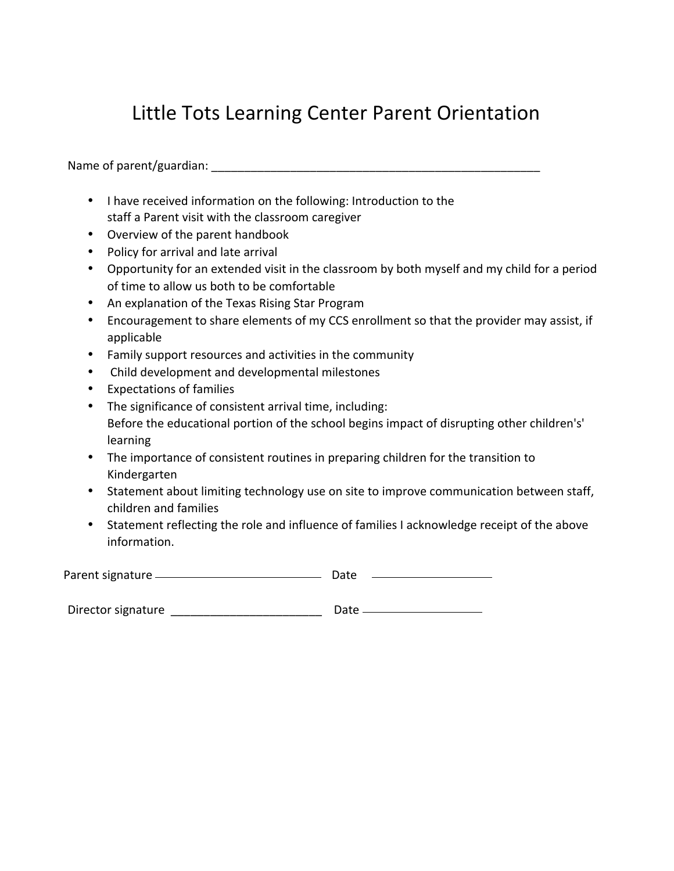# Little Tots Learning Center Parent Orientation

Name of parent/guardian: \_\_\_\_\_\_\_\_\_\_\_\_\_\_\_\_\_\_\_\_\_\_\_\_\_\_\_\_\_\_\_\_\_\_\_\_\_\_\_\_\_\_\_\_\_\_\_\_\_\_ 

- I have received information on the following: Introduction to the staff a Parent visit with the classroom caregiver
- Overview of the parent handbook
- Policy for arrival and late arrival
- Opportunity for an extended visit in the classroom by both myself and my child for a period of time to allow us both to be comfortable
- An explanation of the Texas Rising Star Program
- Encouragement to share elements of my CCS enrollment so that the provider may assist, if applicable
- Family support resources and activities in the community
- Child development and developmental milestones
- Expectations of families
- The significance of consistent arrival time, including: Before the educational portion of the school begins impact of disrupting other children's' learning
- The importance of consistent routines in preparing children for the transition to Kindergarten
- Statement about limiting technology use on site to improve communication between staff, children and families
- Statement reflecting the role and influence of families I acknowledge receipt of the above information.

| Parent signature | Date |  |
|------------------|------|--|
|                  |      |  |

| Director signature | Date |
|--------------------|------|
|                    |      |